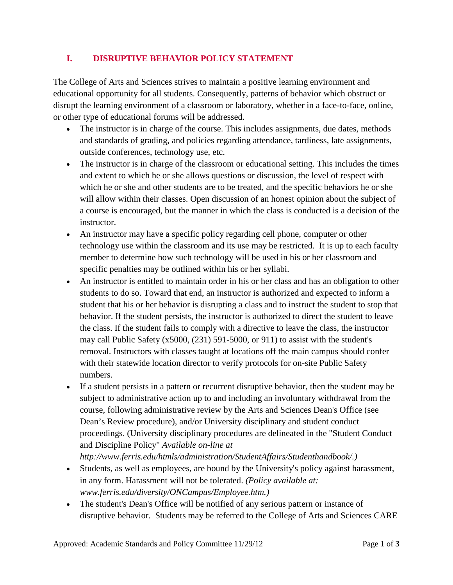## **I. DISRUPTIVE BEHAVIOR POLICY STATEMENT**

The College of Arts and Sciences strives to maintain a positive learning environment and educational opportunity for all students. Consequently, patterns of behavior which obstruct or disrupt the learning environment of a classroom or laboratory, whether in a face-to-face, online, or other type of educational forums will be addressed.

- The instructor is in charge of the course. This includes assignments, due dates, methods and standards of grading, and policies regarding attendance, tardiness, late assignments, outside conferences, technology use, etc.
- The instructor is in charge of the classroom or educational setting. This includes the times and extent to which he or she allows questions or discussion, the level of respect with which he or she and other students are to be treated, and the specific behaviors he or she will allow within their classes. Open discussion of an honest opinion about the subject of a course is encouraged, but the manner in which the class is conducted is a decision of the instructor.
- An instructor may have a specific policy regarding cell phone, computer or other technology use within the classroom and its use may be restricted. It is up to each faculty member to determine how such technology will be used in his or her classroom and specific penalties may be outlined within his or her syllabi.
- An instructor is entitled to maintain order in his or her class and has an obligation to other students to do so. Toward that end, an instructor is authorized and expected to inform a student that his or her behavior is disrupting a class and to instruct the student to stop that behavior. If the student persists, the instructor is authorized to direct the student to leave the class. If the student fails to comply with a directive to leave the class, the instructor may call Public Safety  $(x5000, (231)$  591-5000, or 911) to assist with the student's removal. Instructors with classes taught at locations off the main campus should confer with their statewide location director to verify protocols for on-site Public Safety numbers.
- If a student persists in a pattern or recurrent disruptive behavior, then the student may be subject to administrative action up to and including an involuntary withdrawal from the course, following administrative review by the Arts and Sciences Dean's Office (see Dean's Review procedure), and/or University disciplinary and student conduct proceedings. (University disciplinary procedures are delineated in the "Student Conduct and Discipline Policy" *Available on-line at http://www.ferris.edu/htmls/administration/StudentAffairs/Studenthandbook/.)*
- Students, as well as employees, are bound by the University's policy against harassment, in any form. Harassment will not be tolerated. *(Policy available at: www.ferris.edu/diversity/ONCampus/Employee.htm.)*
- The student's Dean's Office will be notified of any serious pattern or instance of disruptive behavior. Students may be referred to the College of Arts and Sciences CARE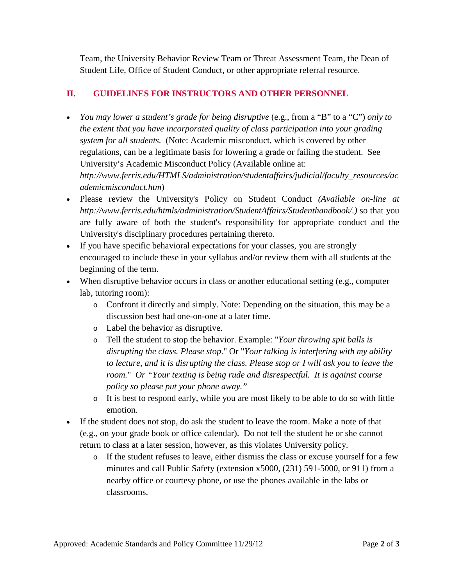Team, the University Behavior Review Team or Threat Assessment Team, the Dean of Student Life, Office of Student Conduct, or other appropriate referral resource.

## **II. GUIDELINES FOR INSTRUCTORS AND OTHER PERSONNEL**

- *You may lower a student's grade for being disruptive* (e.g., from a "B" to a "C") *only to the extent that you have incorporated quality of class participation into your grading system for all students.* (Note: Academic misconduct, which is covered by other regulations, can be a legitimate basis for lowering a grade or failing the student. See University's Academic Misconduct Policy (Available online at: *http://www.ferris.edu/HTMLS/administration/studentaffairs/judicial/faculty\_resources/ac ademicmisconduct.htm*)
- Please review the University's Policy on Student Conduct *(Available on-line at http://www.ferris.edu/htmls/administration/StudentAffairs/Studenthandbook/.)* so that you are fully aware of both the student's responsibility for appropriate conduct and the University's disciplinary procedures pertaining thereto.
- If you have specific behavioral expectations for your classes, you are strongly encouraged to include these in your syllabus and/or review them with all students at the beginning of the term.
- When disruptive behavior occurs in class or another educational setting (e.g., computer lab, tutoring room):
	- o Confront it directly and simply. Note: Depending on the situation, this may be a discussion best had one-on-one at a later time.
	- o Label the behavior as disruptive.
	- o Tell the student to stop the behavior. Example: "*Your throwing spit balls is disrupting the class. Please stop*." Or "*Your talking is interfering with my ability to lecture, and it is disrupting the class. Please stop or I will ask you to leave the room.*" *Or "Your texting is being rude and disrespectful. It is against course policy so please put your phone away."*
	- o It is best to respond early, while you are most likely to be able to do so with little emotion.
- If the student does not stop, do ask the student to leave the room. Make a note of that (e.g., on your grade book or office calendar). Do not tell the student he or she cannot return to class at a later session, however, as this violates University policy.
	- o If the student refuses to leave, either dismiss the class or excuse yourself for a few minutes and call Public Safety (extension x5000, (231) 591-5000, or 911) from a nearby office or courtesy phone, or use the phones available in the labs or classrooms.